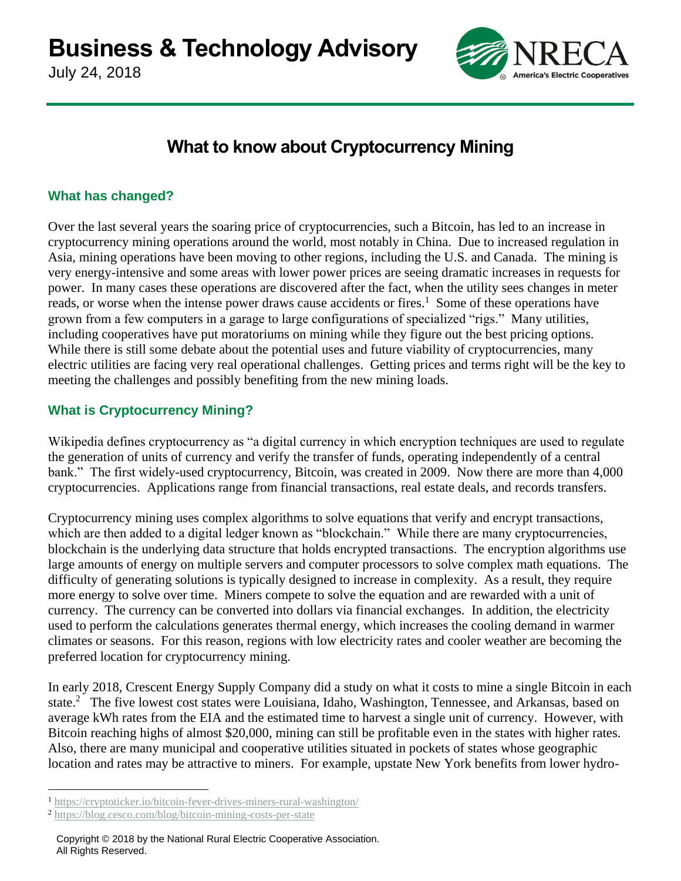July 24, 2018



# **What to know about Cryptocurrency Mining**

## **What has changed?**

Over the last several years the soaring price of cryptocurrencies, such a Bitcoin, has led to an increase in cryptocurrency mining operations around the world, most notably in China. Due to increased regulation in Asia, mining operations have been moving to other regions, including the U.S. and Canada. The mining is very energy-intensive and some areas with lower power prices are seeing dramatic increases in requests for power. In many cases these operations are discovered after the fact, when the utility sees changes in meter reads, or worse when the intense power draws cause accidents or fires.<sup>1</sup> Some of these operations have grown from a few computers in a garage to large configurations of specialized "rigs." Many utilities, including cooperatives have put moratoriums on mining while they figure out the best pricing options. While there is still some debate about the potential uses and future viability of cryptocurrencies, many electric utilities are facing very real operational challenges. Getting prices and terms right will be the key to meeting the challenges and possibly benefiting from the new mining loads.

## **What is Cryptocurrency Mining?**

Wikipedia defines cryptocurrency as "a digital currency in which encryption techniques are used to regulate the generation of units of currency and verify the transfer of funds, operating independently of a central bank." The first widely-used cryptocurrency, Bitcoin, was created in 2009. Now there are more than 4,000 cryptocurrencies. Applications range from financial transactions, real estate deals, and records transfers.

Cryptocurrency mining uses complex algorithms to solve equations that verify and encrypt transactions, which are then added to a digital ledger known as "blockchain." While there are many cryptocurrencies, blockchain is the underlying data structure that holds encrypted transactions. The encryption algorithms use large amounts of energy on multiple servers and computer processors to solve complex math equations. The difficulty of generating solutions is typically designed to increase in complexity. As a result, they require more energy to solve over time. Miners compete to solve the equation and are rewarded with a unit of currency. The currency can be converted into dollars via financial exchanges. In addition, the electricity used to perform the calculations generates thermal energy, which increases the cooling demand in warmer climates or seasons. For this reason, regions with low electricity rates and cooler weather are becoming the preferred location for cryptocurrency mining.

In early 2018, Crescent Energy Supply Company did a study on what it costs to mine a single Bitcoin in each state.<sup>2</sup> The five lowest cost states were Louisiana, Idaho, Washington, Tennessee, and Arkansas, based on average kWh rates from the EIA and the estimated time to harvest a single unit of currency. However, with Bitcoin reaching highs of almost \$20,000, mining can still be profitable even in the states with higher rates. Also, there are many municipal and cooperative utilities situated in pockets of states whose geographic location and rates may be attractive to miners. For example, upstate New York benefits from lower hydro-

 $\overline{a}$ 

<sup>1</sup> <https://cryptoticker.io/bitcoin-fever-drives-miners-rural-washington/>

<sup>2</sup> <https://blog.cesco.com/blog/bitcoin-mining-costs-per-state>

Copyright © 2018 by the National Rural Electric Cooperative Association. All Rights Reserved.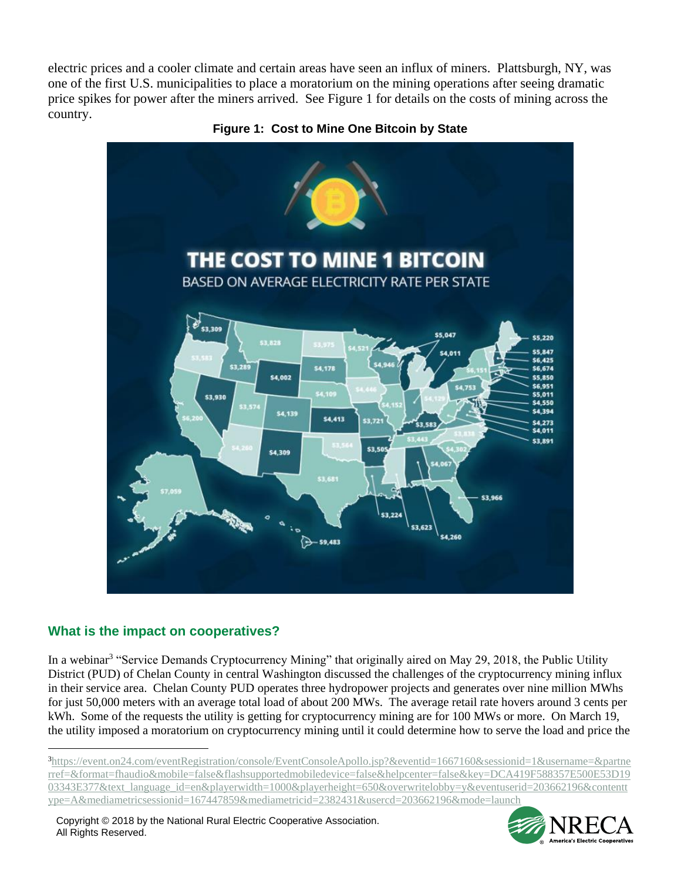electric prices and a cooler climate and certain areas have seen an influx of miners. Plattsburgh, NY, was one of the first U.S. municipalities to place a moratorium on the mining operations after seeing dramatic price spikes for power after the miners arrived. See Figure 1 for details on the costs of mining across the country.





# **What is the impact on cooperatives?**

 $\overline{a}$ 

In a webinar<sup>3</sup> "Service Demands Cryptocurrency Mining" that originally aired on May 29, 2018, the Public Utility District (PUD) of Chelan County in central Washington discussed the challenges of the cryptocurrency mining influx in their service area. Chelan County PUD operates three hydropower projects and generates over nine million MWhs for just 50,000 meters with an average total load of about 200 MWs. The average retail rate hovers around 3 cents per kWh. Some of the requests the utility is getting for cryptocurrency mining are for 100 MWs or more. On March 19, the utility imposed a moratorium on cryptocurrency mining until it could determine how to serve the load and price the



<sup>3</sup>[https://event.on24.com/eventRegistration/console/EventConsoleApollo.jsp?&eventid=1667160&sessionid=1&username=&partne](https://event.on24.com/eventRegistration/console/EventConsoleApollo.jsp?&eventid=1667160&sessionid=1&username=&partnerref=&format=fhaudio&mobile=false&flashsupportedmobiledevice=false&helpcenter=false&key=DCA419F588357E500E53D1903343E377&text_language_id=en&playerwidth=1000&playerheight=650&overwritelobby=y&eventuserid=203662196&contenttype=A&mediametricsessionid=167447859&mediametricid=2382431&usercd=203662196&mode=launch) [rref=&format=fhaudio&mobile=false&flashsupportedmobiledevice=false&helpcenter=false&key=DCA419F588357E500E53D19](https://event.on24.com/eventRegistration/console/EventConsoleApollo.jsp?&eventid=1667160&sessionid=1&username=&partnerref=&format=fhaudio&mobile=false&flashsupportedmobiledevice=false&helpcenter=false&key=DCA419F588357E500E53D1903343E377&text_language_id=en&playerwidth=1000&playerheight=650&overwritelobby=y&eventuserid=203662196&contenttype=A&mediametricsessionid=167447859&mediametricid=2382431&usercd=203662196&mode=launch) [03343E377&text\\_language\\_id=en&playerwidth=1000&playerheight=650&overwritelobby=y&eventuserid=203662196&contentt](https://event.on24.com/eventRegistration/console/EventConsoleApollo.jsp?&eventid=1667160&sessionid=1&username=&partnerref=&format=fhaudio&mobile=false&flashsupportedmobiledevice=false&helpcenter=false&key=DCA419F588357E500E53D1903343E377&text_language_id=en&playerwidth=1000&playerheight=650&overwritelobby=y&eventuserid=203662196&contenttype=A&mediametricsessionid=167447859&mediametricid=2382431&usercd=203662196&mode=launch) [ype=A&mediametricsessionid=167447859&mediametricid=2382431&usercd=203662196&mode=launch](https://event.on24.com/eventRegistration/console/EventConsoleApollo.jsp?&eventid=1667160&sessionid=1&username=&partnerref=&format=fhaudio&mobile=false&flashsupportedmobiledevice=false&helpcenter=false&key=DCA419F588357E500E53D1903343E377&text_language_id=en&playerwidth=1000&playerheight=650&overwritelobby=y&eventuserid=203662196&contenttype=A&mediametricsessionid=167447859&mediametricid=2382431&usercd=203662196&mode=launch)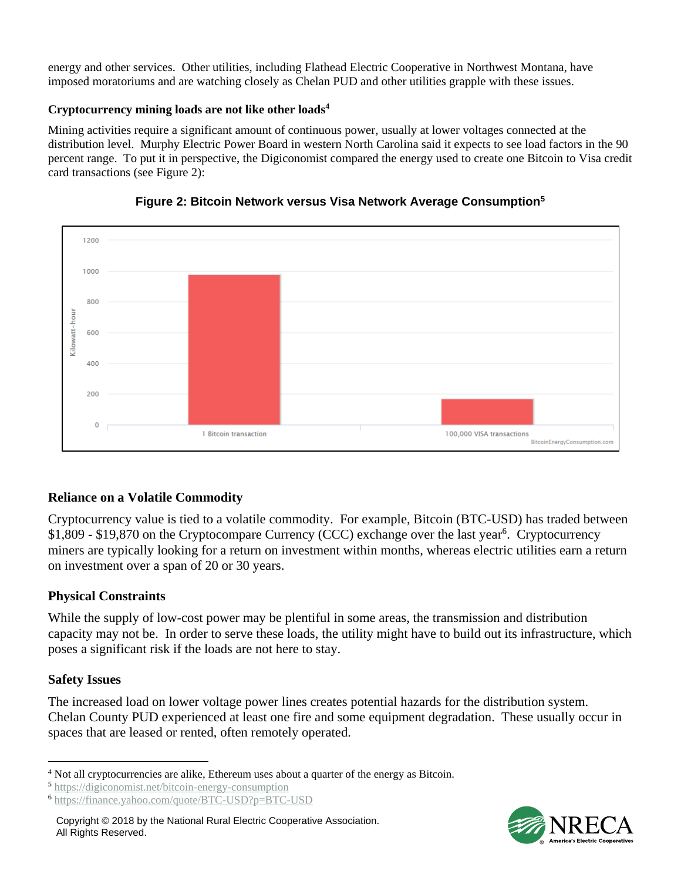energy and other services. Other utilities, including Flathead Electric Cooperative in Northwest Montana, have imposed moratoriums and are watching closely as Chelan PUD and other utilities grapple with these issues.

#### **Cryptocurrency mining loads are not like other loads<sup>4</sup>**

Mining activities require a significant amount of continuous power, usually at lower voltages connected at the distribution level. Murphy Electric Power Board in western North Carolina said it expects to see load factors in the 90 percent range. To put it in perspective, the Digiconomist compared the energy used to create one Bitcoin to Visa credit card transactions (see Figure 2):





## **Reliance on a Volatile Commodity**

Cryptocurrency value is tied to a volatile commodity. For example, Bitcoin (BTC-USD) has traded between \$1,809 - \$19,870 on the Cryptocompare Currency (CCC) exchange over the last year<sup>6</sup>. Cryptocurrency miners are typically looking for a return on investment within months, whereas electric utilities earn a return on investment over a span of 20 or 30 years.

## **Physical Constraints**

While the supply of low-cost power may be plentiful in some areas, the transmission and distribution capacity may not be. In order to serve these loads, the utility might have to build out its infrastructure, which poses a significant risk if the loads are not here to stay.

## **Safety Issues**

 $\overline{a}$ 

The increased load on lower voltage power lines creates potential hazards for the distribution system. Chelan County PUD experienced at least one fire and some equipment degradation. These usually occur in spaces that are leased or rented, often remotely operated.



<sup>4</sup> Not all cryptocurrencies are alike, Ethereum uses about a quarter of the energy as Bitcoin.

<sup>5</sup> <https://digiconomist.net/bitcoin-energy-consumption>

<sup>6</sup> <https://finance.yahoo.com/quote/BTC-USD?p=BTC-USD>

Copyright © 2018 by the National Rural Electric Cooperative Association. All Rights Reserved.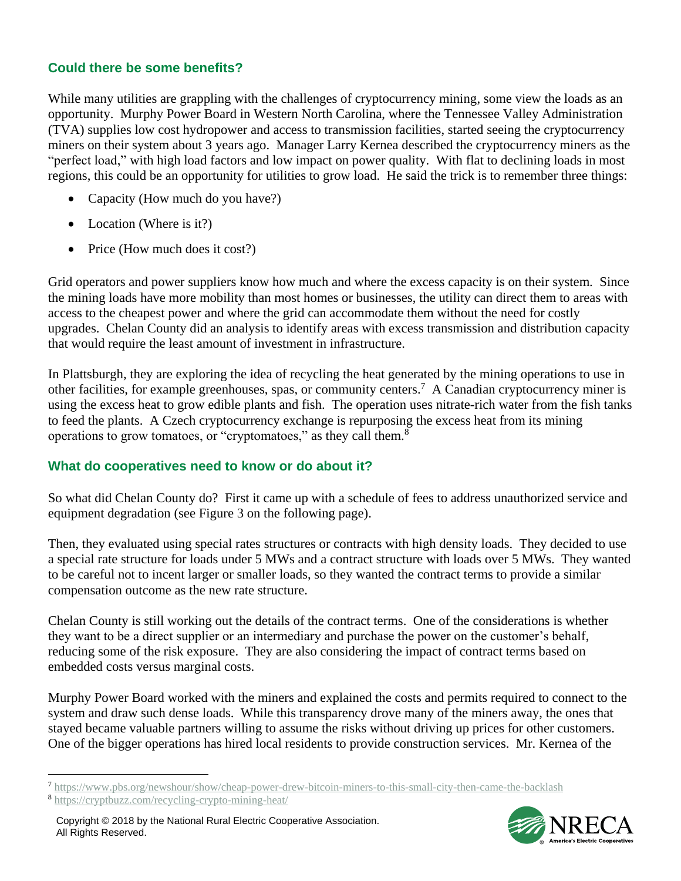## **Could there be some benefits?**

While many utilities are grappling with the challenges of cryptocurrency mining, some view the loads as an opportunity. Murphy Power Board in Western North Carolina, where the Tennessee Valley Administration (TVA) supplies low cost hydropower and access to transmission facilities, started seeing the cryptocurrency miners on their system about 3 years ago. Manager Larry Kernea described the cryptocurrency miners as the "perfect load," with high load factors and low impact on power quality. With flat to declining loads in most regions, this could be an opportunity for utilities to grow load. He said the trick is to remember three things:

- Capacity (How much do you have?)
- Location (Where is it?)
- Price (How much does it cost?)

Grid operators and power suppliers know how much and where the excess capacity is on their system. Since the mining loads have more mobility than most homes or businesses, the utility can direct them to areas with access to the cheapest power and where the grid can accommodate them without the need for costly upgrades. Chelan County did an analysis to identify areas with excess transmission and distribution capacity that would require the least amount of investment in infrastructure.

In Plattsburgh, they are exploring the idea of recycling the heat generated by the mining operations to use in other facilities, for example greenhouses, spas, or community centers.<sup>7</sup> A Canadian cryptocurrency miner is using the excess heat to grow edible plants and fish. The operation uses nitrate-rich water from the fish tanks to feed the plants. A Czech cryptocurrency exchange is repurposing the excess heat from its mining operations to grow tomatoes, or "cryptomatoes," as they call them.<sup>8</sup>

#### **What do cooperatives need to know or do about it?**

So what did Chelan County do? First it came up with a schedule of fees to address unauthorized service and equipment degradation (see Figure 3 on the following page).

Then, they evaluated using special rates structures or contracts with high density loads. They decided to use a special rate structure for loads under 5 MWs and a contract structure with loads over 5 MWs. They wanted to be careful not to incent larger or smaller loads, so they wanted the contract terms to provide a similar compensation outcome as the new rate structure.

Chelan County is still working out the details of the contract terms. One of the considerations is whether they want to be a direct supplier or an intermediary and purchase the power on the customer's behalf, reducing some of the risk exposure. They are also considering the impact of contract terms based on embedded costs versus marginal costs.

Murphy Power Board worked with the miners and explained the costs and permits required to connect to the system and draw such dense loads. While this transparency drove many of the miners away, the ones that stayed became valuable partners willing to assume the risks without driving up prices for other customers. One of the bigger operations has hired local residents to provide construction services. Mr. Kernea of the

 $\overline{a}$ 



<sup>7</sup> <https://www.pbs.org/newshour/show/cheap-power-drew-bitcoin-miners-to-this-small-city-then-came-the-backlash>

<sup>8</sup> <https://cryptbuzz.com/recycling-crypto-mining-heat/>

Copyright © 2018 by the National Rural Electric Cooperative Association. All Rights Reserved.